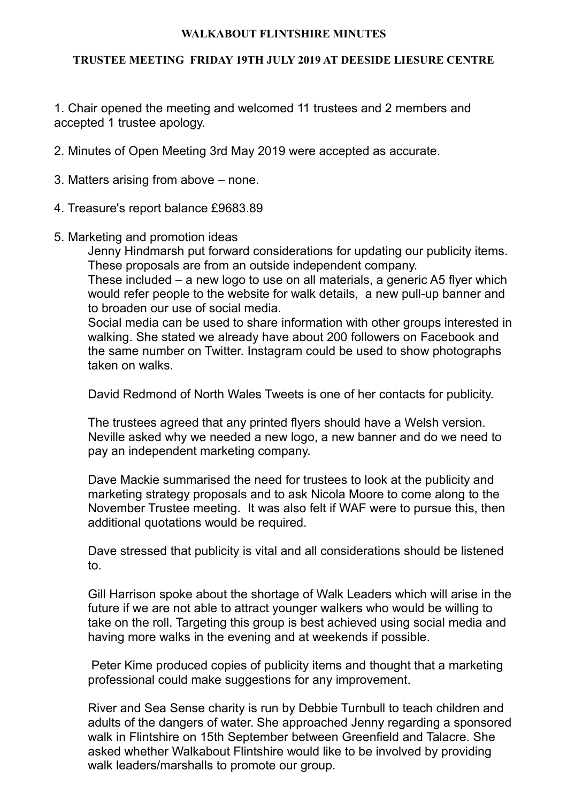## **WALKABOUT FLINTSHIRE MINUTES**

## **TRUSTEE MEETING FRIDAY 19TH JULY 2019 AT DEESIDE LIESURE CENTRE**

1. Chair opened the meeting and welcomed 11 trustees and 2 members and accepted 1 trustee apology.

2. Minutes of Open Meeting 3rd May 2019 were accepted as accurate.

- 3. Matters arising from above none.
- 4. Treasure's report balance £9683.89
- 5. Marketing and promotion ideas

Jenny Hindmarsh put forward considerations for updating our publicity items. These proposals are from an outside independent company.

These included – a new logo to use on all materials, a generic A5 flyer which would refer people to the website for walk details, a new pull-up banner and to broaden our use of social media.

Social media can be used to share information with other groups interested in walking. She stated we already have about 200 followers on Facebook and the same number on Twitter. Instagram could be used to show photographs taken on walks.

David Redmond of North Wales Tweets is one of her contacts for publicity.

The trustees agreed that any printed flyers should have a Welsh version. Neville asked why we needed a new logo, a new banner and do we need to pay an independent marketing company.

Dave Mackie summarised the need for trustees to look at the publicity and marketing strategy proposals and to ask Nicola Moore to come along to the November Trustee meeting. It was also felt if WAF were to pursue this, then additional quotations would be required.

Dave stressed that publicity is vital and all considerations should be listened to.

Gill Harrison spoke about the shortage of Walk Leaders which will arise in the future if we are not able to attract younger walkers who would be willing to take on the roll. Targeting this group is best achieved using social media and having more walks in the evening and at weekends if possible.

 Peter Kime produced copies of publicity items and thought that a marketing professional could make suggestions for any improvement.

River and Sea Sense charity is run by Debbie Turnbull to teach children and adults of the dangers of water. She approached Jenny regarding a sponsored walk in Flintshire on 15th September between Greenfield and Talacre. She asked whether Walkabout Flintshire would like to be involved by providing walk leaders/marshalls to promote our group.